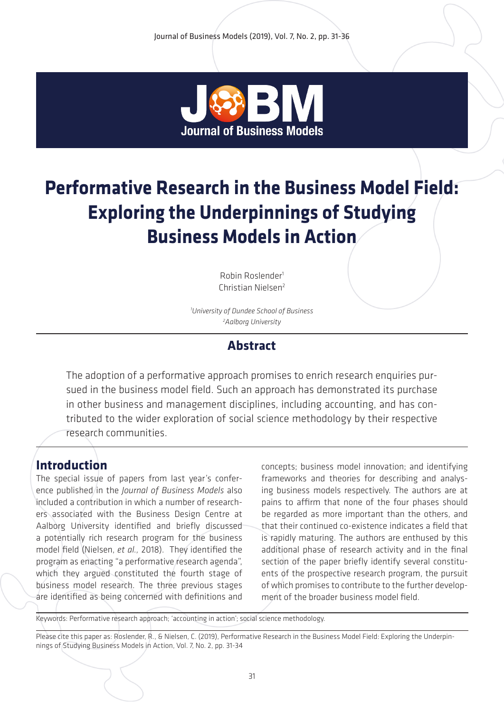

# **Performative Research in the Business Model Field: Exploring the Underpinnings of Studying Business Models in Action**

Robin Roslender1 Christian Nielsen2

*1 University of Dundee School of Business 2 Aalborg University*

## **Abstract**

The adoption of a performative approach promises to enrich research enquiries pursued in the business model field. Such an approach has demonstrated its purchase in other business and management disciplines, including accounting, and has contributed to the wider exploration of social science methodology by their respective research communities.

## **Introduction**

The special issue of papers from last year's conference published in the *Journal of Business Models* also included a contribution in which a number of researchers associated with the Business Design Centre at Aalborg University identified and briefly discussed a potentially rich research program for the business model field (Nielsen, *et al.,* 2018).They identified the program as enacting "a performative research agenda", which they argued constituted the fourth stage of business model research. The three previous stages are identified as being concerned with definitions and concepts; business model innovation; and identifying frameworks and theories for describing and analysing business models respectively. The authors are at pains to affirm that none of the four phases should be regarded as more important than the others, and that their continued co-existence indicates a field that is rapidly maturing. The authors are enthused by this additional phase of research activity and in the final section of the paper briefly identify several constituents of the prospective research program, the pursuit of which promises to contribute to the further development of the broader business model field.

Keywords: Performative research approach; 'accounting in action'; social science methodology.

Please cite this paper as: Roslender, R., & Nielsen, C. (2019), Performative Research in the Business Model Field: Exploring the Underpinnings of Studying Business Models in Action, Vol. 7, No. 2, pp. 31-34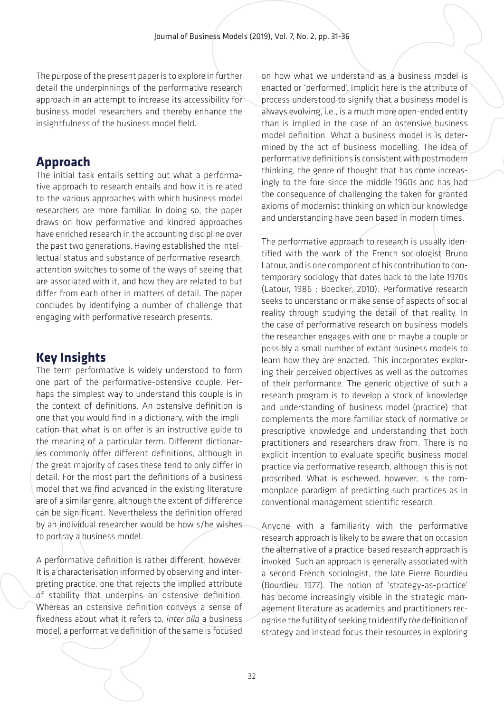The purpose of the present paper is to explore in further detail the underpinnings of the performative research approach in an attempt to increase its accessibility for business model researchers and thereby enhance the insightfulness of the business model field.

#### **Approach**

The initial task entails setting out what a performative approach to research entails and how it is related to the various approaches with which business model researchers are more familiar. In doing so, the paper draws on how performative and kindred approaches have enriched research in the accounting discipline over the past two generations. Having established the intellectual status and substance of performative research, attention switches to some of the ways of seeing that are associated with it, and how they are related to but differ from each other in matters of detail. The paper concludes by identifying a number of challenge that engaging with performative research presents.

# **Key Insights**

The term performative is widely understood to form one part of the performative-ostensive couple. Perhaps the simplest way to understand this couple is in the context of definitions. An ostensive definition is one that you would find in a dictionary, with the implication that what is on offer is an instructive guide to the meaning of a particular term. Different dictionaries commonly offer different definitions, although in the great majority of cases these tend to only differ in detail. For the most part the definitions of a business model that we find advanced in the existing literature are of a similar genre, although the extent of difference can be significant. Nevertheless the definition offered by an individual researcher would be how s/he wishes to portray a business model.

A performative definition is rather different, however. It is a characterisation informed by observing and interpreting practice, one that rejects the implied attribute of stability that underpins an ostensive definition. Whereas an ostensive definition conveys a sense of fixedness about what it refers to, *inter alia* a business model, a performative definition of the same is focused on how what we understand as a business model is enacted or 'performed'. Implicit here is the attribute of process understood to signify that a business model is always evolving, i.e., is a much more open-ended entity than is implied in the case of an ostensive business model definition. What a business model is is determined by the act of business modelling. The idea of performative definitions is consistent with postmodern thinking, the genre of thought that has come increasingly to the fore since the middle 1960s and has had the consequence of challenging the taken for granted axioms of modernist thinking on which our knowledge and understanding have been based in modern times.

The performative approach to research is usually identified with the work of the French sociologist Bruno Latour, and is one component of his contribution to contemporary sociology that dates back to the late 1970s (Latour, 1986 ; Boedker, 2010). Performative research seeks to understand or make sense of aspects of social reality through studying the detail of that reality. In the case of performative research on business models the researcher engages with one or maybe a couple or possibly a small number of extant business models to learn how they are enacted. This incorporates exploring their perceived objectives as well as the outcomes of their performance. The generic objective of such a research program is to develop a stock of knowledge and understanding of business model (practice) that complements the more familiar stock of normative or prescriptive knowledge and understanding that both practitioners and researchers draw from. There is no explicit intention to evaluate specific business model practice via performative research, although this is not proscribed. What is eschewed, however, is the commonplace paradigm of predicting such practices as in conventional management scientific research.

Anyone with a familiarity with the performative research approach is likely to be aware that on occasion the alternative of a practice-based research approach is invoked. Such an approach is generally associated with a second French sociologist, the late Pierre Bourdieu (Bourdieu, 1977). The notion of 'strategy-as-practice' has become increasingly visible in the strategic management literature as academics and practitioners recognise the futility of seeking to identify *the* definition of strategy and instead focus their resources in exploring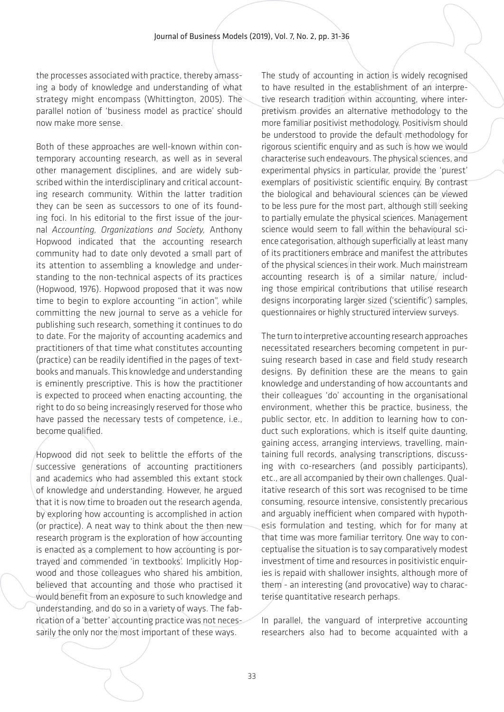the processes associated with practice, thereby amassing a body of knowledge and understanding of what strategy might encompass (Whittington, 2005). The parallel notion of 'business model as practice' should now make more sense.

Both of these approaches are well-known within contemporary accounting research, as well as in several other management disciplines, and are widely subscribed within the interdisciplinary and critical accounting research community. Within the latter tradition they can be seen as successors to one of its founding foci. In his editorial to the first issue of the journal *Accounting, Organizations and Society,* Anthony Hopwood indicated that the accounting research community had to date only devoted a small part of its attention to assembling a knowledge and understanding to the non-technical aspects of its practices (Hopwood, 1976). Hopwood proposed that it was now time to begin to explore accounting "in action", while committing the new journal to serve as a vehicle for publishing such research, something it continues to do to date. For the majority of accounting academics and practitioners of that time what constitutes accounting (practice) can be readily identified in the pages of textbooks and manuals. This knowledge and understanding is eminently prescriptive. This is how the practitioner is expected to proceed when enacting accounting, the right to do so being increasingly reserved for those who have passed the necessary tests of competence, i.e., become qualified.

Hopwood did not seek to belittle the efforts of the successive generations of accounting practitioners and academics who had assembled this extant stock of knowledge and understanding. However, he argued that it is now time to broaden out the research agenda, by exploring how accounting is accomplished in action (or practice). A neat way to think about the then new research program is the exploration of how accounting is enacted as a complement to how accounting is portrayed and commended 'in textbooks'. Implicitly Hopwood and those colleagues who shared his ambition, believed that accounting and those who practised it would benefit from an exposure to such knowledge and understanding, and do so in a variety of ways. The fabrication of a 'better' accounting practice was not necessarily the only nor the most important of these ways.

The study of accounting in action is widely recognised to have resulted in the establishment of an interpretive research tradition within accounting, where interpretivism provides an alternative methodology to the more familiar positivist methodology. Positivism should be understood to provide the default methodology for rigorous scientific enquiry and as such is how we would characterise such endeavours. The physical sciences, and experimental physics in particular, provide the 'purest' exemplars of positivistic scientific enquiry. By contrast the biological and behavioural sciences can be viewed to be less pure for the most part, although still seeking to partially emulate the physical sciences. Management science would seem to fall within the behavioural science categorisation, although superficially at least many of its practitioners embrace and manifest the attributes of the physical sciences in their work. Much mainstream accounting research is of a similar nature, including those empirical contributions that utilise research designs incorporating larger sized ('scientific') samples, questionnaires or highly structured interview surveys.

The turn to interpretive accounting research approaches necessitated researchers becoming competent in pursuing research based in case and field study research designs. By definition these are the means to gain knowledge and understanding of how accountants and their colleagues 'do' accounting in the organisational environment, whether this be practice, business, the public sector, etc. In addition to learning how to conduct such explorations, which is itself quite daunting. gaining access, arranging interviews, travelling, maintaining full records, analysing transcriptions, discussing with co-researchers (and possibly participants), etc., are all accompanied by their own challenges. Qualitative research of this sort was recognised to be time consuming, resource intensive, consistently precarious and arguably inefficient when compared with hypothesis formulation and testing, which for for many at that time was more familiar territory. One way to conceptualise the situation is to say comparatively modest investment of time and resources in positivistic enquiries is repaid with shallower insights, although more of them - an interesting (and provocative) way to characterise quantitative research perhaps.

In parallel, the vanguard of interpretive accounting researchers also had to become acquainted with a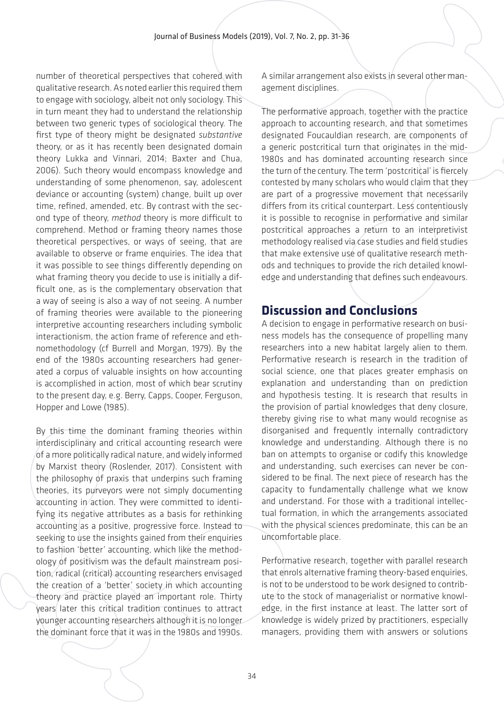number of theoretical perspectives that cohered with qualitative research. As noted earlier this required them to engage with sociology, albeit not only sociology. This in turn meant they had to understand the relationship between two generic types of sociological theory. The first type of theory might be designated *substantive* theory, or as it has recently been designated domain theory Lukka and Vinnari, 2014; Baxter and Chua, 2006). Such theory would encompass knowledge and understanding of some phenomenon, say, adolescent deviance or accounting (system) change, built up over time, refined, amended, etc. By contrast with the second type of theory, *method* theory is more difficult to comprehend. Method or framing theory names those theoretical perspectives, or ways of seeing, that are available to observe or frame enquiries. The idea that it was possible to see things differently depending on what framing theory you decide to use is initially a difficult one, as is the complementary observation that a way of seeing is also a way of not seeing. A number of framing theories were available to the pioneering interpretive accounting researchers including symbolic interactionism, the action frame of reference and ethnomethodology (cf Burrell and Morgan, 1979). By the end of the 1980s accounting researchers had generated a corpus of valuable insights on how accounting is accomplished in action, most of which bear scrutiny to the present day, e.g. Berry, Capps, Cooper, Ferguson, Hopper and Lowe (1985).

By this time the dominant framing theories within interdisciplinary and critical accounting research were of a more politically radical nature, and widely informed by Marxist theory (Roslender, 2017). Consistent with the philosophy of praxis that underpins such framing theories, its purveyors were not simply documenting accounting in action. They were committed to identifying its negative attributes as a basis for rethinking accounting as a positive, progressive force. Instead to seeking to use the insights gained from their enquiries to fashion 'better' accounting, which like the methodology of positivism was the default mainstream position, radical (critical) accounting researchers envisaged the creation of a 'better' society in which accounting theory and practice played an important role. Thirty years later this critical tradition continues to attract younger accounting researchers although it is no longer the dominant force that it was in the 1980s and 1990s. A similar arrangement also exists in several other management disciplines.

The performative approach, together with the practice approach to accounting research, and that sometimes designated Foucauldian research, are components of a generic postcritical turn that originates in the mid-1980s and has dominated accounting research since the turn of the century. The term 'postcritical' is fiercely contested by many scholars who would claim that they are part of a progressive movement that necessarily differs from its critical counterpart. Less contentiously it is possible to recognise in performative and similar postcritical approaches a return to an interpretivist methodology realised via case studies and field studies that make extensive use of qualitative research methods and techniques to provide the rich detailed knowledge and understanding that defines such endeavours.

## **Discussion and Conclusions**

A decision to engage in performative research on business models has the consequence of propelling many researchers into a new habitat largely alien to them. Performative research is research in the tradition of social science, one that places greater emphasis on explanation and understanding than on prediction and hypothesis testing. It is research that results in the provision of partial knowledges that deny closure, thereby giving rise to what many would recognise as disorganised and frequently internally contradictory knowledge and understanding. Although there is no ban on attempts to organise or codify this knowledge and understanding, such exercises can never be considered to be final. The next piece of research has the capacity to fundamentally challenge what we know and understand. For those with a traditional intellectual formation, in which the arrangements associated with the physical sciences predominate, this can be an uncomfortable place.

Performative research, together with parallel research that enrols alternative framing theory-based enquiries, is not to be understood to be work designed to contribute to the stock of managerialist or normative knowledge, in the first instance at least. The latter sort of knowledge is widely prized by practitioners, especially managers, providing them with answers or solutions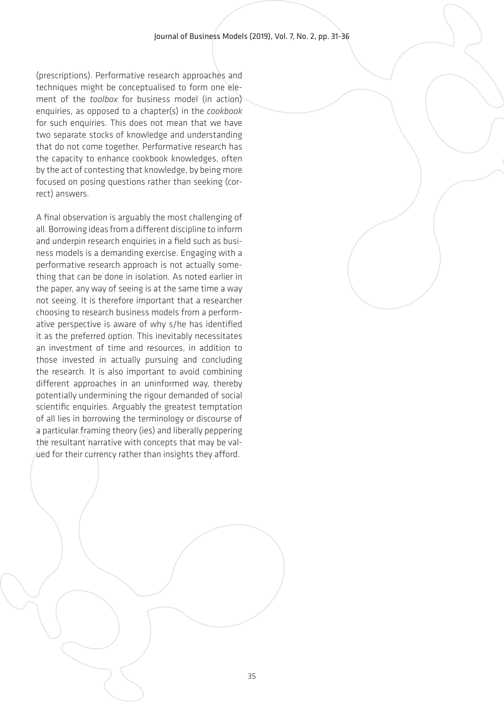(prescriptions). Performative research approaches and techniques might be conceptualised to form one element of the *toolbox* for business model (in action) enquiries, as opposed to a chapter(s) in the *cookbook* for such enquiries. This does not mean that we have two separate stocks of knowledge and understanding that do not come together. Performative research has the capacity to enhance cookbook knowledges, often by the act of contesting that knowledge, by being more focused on posing questions rather than seeking (correct) answers.

A final observation is arguably the most challenging of all. Borrowing ideas from a different discipline to inform and underpin research enquiries in a field such as business models is a demanding exercise. Engaging with a performative research approach is not actually something that can be done in isolation. As noted earlier in the paper, any way of seeing is at the same time a way not seeing. It is therefore important that a researcher choosing to research business models from a performative perspective is aware of why s/he has identified it as the preferred option. This inevitably necessitates an investment of time and resources, in addition to those invested in actually pursuing and concluding the research. It is also important to avoid combining different approaches in an uninformed way, thereby potentially undermining the rigour demanded of social scientific enquiries. Arguably the greatest temptation of all lies in borrowing the terminology or discourse of a particular framing theory (ies) and liberally peppering the resultant narrative with concepts that may be valued for their currency rather than insights they afford.